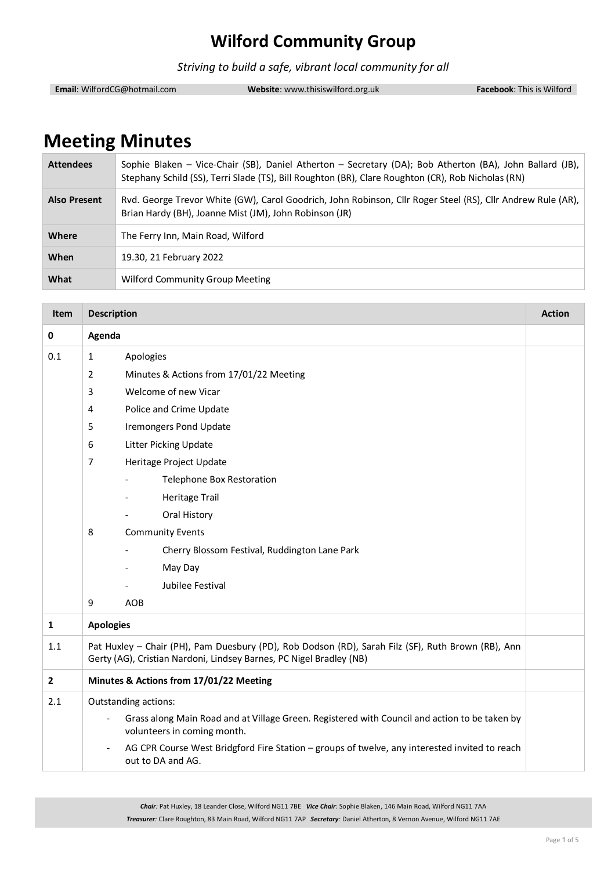*Striving to build a safe, vibrant local community for all*

**Email**: WilfordCG@hotmail.com **Website**: www.thisiswilford.org.uk **Facebook**: This is Wilford

# **Meeting Minutes**

| <b>Attendees</b>    | Sophie Blaken - Vice-Chair (SB), Daniel Atherton - Secretary (DA); Bob Atherton (BA), John Ballard (JB),<br>Stephany Schild (SS), Terri Slade (TS), Bill Roughton (BR), Clare Roughton (CR), Rob Nicholas (RN) |  |
|---------------------|----------------------------------------------------------------------------------------------------------------------------------------------------------------------------------------------------------------|--|
| <b>Also Present</b> | Rvd. George Trevor White (GW), Carol Goodrich, John Robinson, Cllr Roger Steel (RS), Cllr Andrew Rule (AR),<br>Brian Hardy (BH), Joanne Mist (JM), John Robinson (JR)                                          |  |
| Where               | The Ferry Inn, Main Road, Wilford                                                                                                                                                                              |  |
| When                | 19.30, 21 February 2022                                                                                                                                                                                        |  |
| What                | Wilford Community Group Meeting                                                                                                                                                                                |  |

| <b>Item</b>                      | <b>Description</b>                                                                                                                                                        |                                                                                                                    |  |
|----------------------------------|---------------------------------------------------------------------------------------------------------------------------------------------------------------------------|--------------------------------------------------------------------------------------------------------------------|--|
| 0                                | Agenda                                                                                                                                                                    |                                                                                                                    |  |
| 0.1<br>$\mathbf{1}$<br>Apologies |                                                                                                                                                                           |                                                                                                                    |  |
|                                  | $\overline{2}$                                                                                                                                                            | Minutes & Actions from 17/01/22 Meeting                                                                            |  |
|                                  | 3                                                                                                                                                                         | Welcome of new Vicar                                                                                               |  |
|                                  | 4                                                                                                                                                                         | Police and Crime Update                                                                                            |  |
|                                  | 5                                                                                                                                                                         | <b>Iremongers Pond Update</b>                                                                                      |  |
|                                  | 6                                                                                                                                                                         | <b>Litter Picking Update</b>                                                                                       |  |
|                                  | $\overline{7}$                                                                                                                                                            | Heritage Project Update                                                                                            |  |
|                                  |                                                                                                                                                                           | Telephone Box Restoration                                                                                          |  |
|                                  | <b>Heritage Trail</b><br>Oral History<br><b>Community Events</b><br>8                                                                                                     |                                                                                                                    |  |
|                                  |                                                                                                                                                                           |                                                                                                                    |  |
|                                  |                                                                                                                                                                           |                                                                                                                    |  |
|                                  |                                                                                                                                                                           | Cherry Blossom Festival, Ruddington Lane Park                                                                      |  |
|                                  |                                                                                                                                                                           | May Day                                                                                                            |  |
|                                  |                                                                                                                                                                           | Jubilee Festival                                                                                                   |  |
|                                  | 9                                                                                                                                                                         | AOB                                                                                                                |  |
| $\mathbf{1}$                     | <b>Apologies</b>                                                                                                                                                          |                                                                                                                    |  |
| 1.1                              | Pat Huxley - Chair (PH), Pam Duesbury (PD), Rob Dodson (RD), Sarah Filz (SF), Ruth Brown (RB), Ann<br>Gerty (AG), Cristian Nardoni, Lindsey Barnes, PC Nigel Bradley (NB) |                                                                                                                    |  |
| $\mathbf{2}$                     | Minutes & Actions from 17/01/22 Meeting                                                                                                                                   |                                                                                                                    |  |
| 2.1                              | Outstanding actions:<br>Grass along Main Road and at Village Green. Registered with Council and action to be taken by<br>volunteers in coming month.                      |                                                                                                                    |  |
|                                  |                                                                                                                                                                           |                                                                                                                    |  |
|                                  | $\overline{\phantom{a}}$                                                                                                                                                  | AG CPR Course West Bridgford Fire Station - groups of twelve, any interested invited to reach<br>out to DA and AG. |  |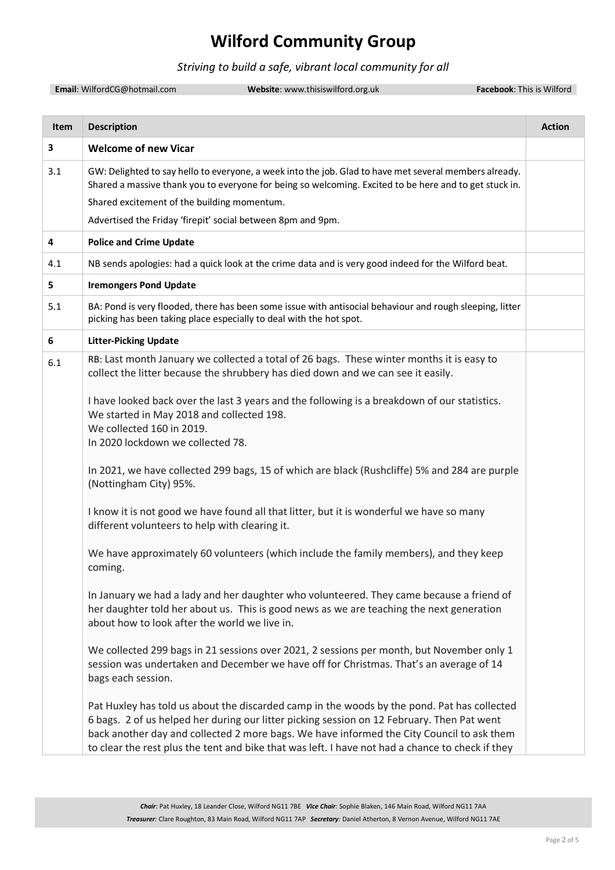#### *Striving to build a safe, vibrant local community for all*

**Email**: WilfordCG@hotmail.com **Website**: www.thisiswilford.org.uk **Facebook**: This is Wilford

| <b>Item</b> | <b>Description</b>                                                                                                                                                                                                                                                                                                                                                                         | <b>Action</b> |
|-------------|--------------------------------------------------------------------------------------------------------------------------------------------------------------------------------------------------------------------------------------------------------------------------------------------------------------------------------------------------------------------------------------------|---------------|
| 3           | <b>Welcome of new Vicar</b>                                                                                                                                                                                                                                                                                                                                                                |               |
| 3.1         | GW: Delighted to say hello to everyone, a week into the job. Glad to have met several members already.<br>Shared a massive thank you to everyone for being so welcoming. Excited to be here and to get stuck in.<br>Shared excitement of the building momentum.<br>Advertised the Friday 'firepit' social between 8pm and 9pm.                                                             |               |
| 4           | <b>Police and Crime Update</b>                                                                                                                                                                                                                                                                                                                                                             |               |
|             |                                                                                                                                                                                                                                                                                                                                                                                            |               |
| 4.1         | NB sends apologies: had a quick look at the crime data and is very good indeed for the Wilford beat.                                                                                                                                                                                                                                                                                       |               |
| 5           | <b>Iremongers Pond Update</b>                                                                                                                                                                                                                                                                                                                                                              |               |
| 5.1         | BA: Pond is very flooded, there has been some issue with antisocial behaviour and rough sleeping, litter<br>picking has been taking place especially to deal with the hot spot.                                                                                                                                                                                                            |               |
| 6           | <b>Litter-Picking Update</b>                                                                                                                                                                                                                                                                                                                                                               |               |
| 6.1         | RB: Last month January we collected a total of 26 bags. These winter months it is easy to<br>collect the litter because the shrubbery has died down and we can see it easily.                                                                                                                                                                                                              |               |
|             | I have looked back over the last 3 years and the following is a breakdown of our statistics.<br>We started in May 2018 and collected 198.<br>We collected 160 in 2019.                                                                                                                                                                                                                     |               |
|             | In 2020 lockdown we collected 78.                                                                                                                                                                                                                                                                                                                                                          |               |
|             | In 2021, we have collected 299 bags, 15 of which are black (Rushcliffe) 5% and 284 are purple<br>(Nottingham City) 95%.                                                                                                                                                                                                                                                                    |               |
|             | I know it is not good we have found all that litter, but it is wonderful we have so many<br>different volunteers to help with clearing it.                                                                                                                                                                                                                                                 |               |
|             | We have approximately 60 volunteers (which include the family members), and they keep<br>coming.                                                                                                                                                                                                                                                                                           |               |
|             | In January we had a lady and her daughter who volunteered. They came because a friend of<br>her daughter told her about us. This is good news as we are teaching the next generation<br>about how to look after the world we live in.                                                                                                                                                      |               |
|             | We collected 299 bags in 21 sessions over 2021, 2 sessions per month, but November only 1<br>session was undertaken and December we have off for Christmas. That's an average of 14<br>bags each session.                                                                                                                                                                                  |               |
|             | Pat Huxley has told us about the discarded camp in the woods by the pond. Pat has collected<br>6 bags. 2 of us helped her during our litter picking session on 12 February. Then Pat went<br>back another day and collected 2 more bags. We have informed the City Council to ask them<br>to clear the rest plus the tent and bike that was left. I have not had a chance to check if they |               |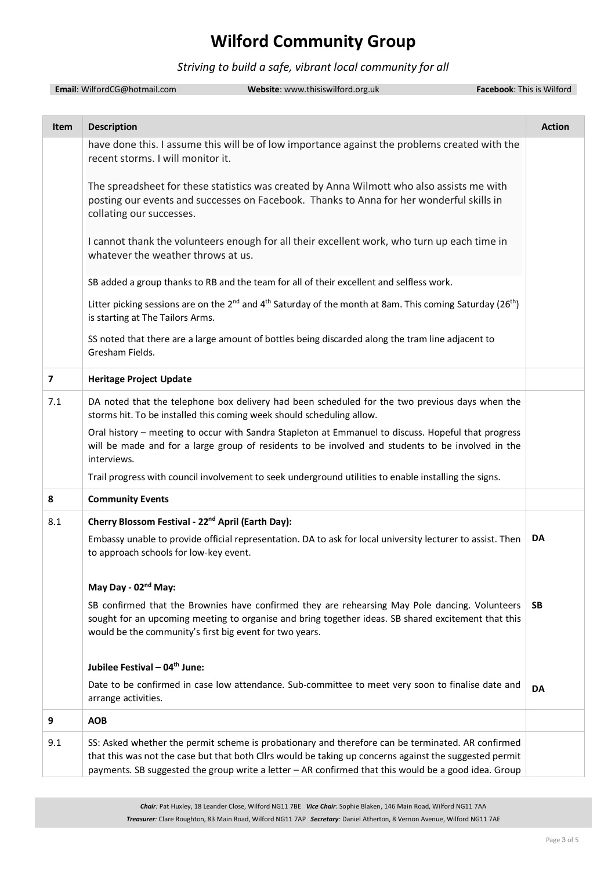#### *Striving to build a safe, vibrant local community for all*

|      | Email: WilfordCG@hotmail.com<br>Website: www.thisiswilford.org.uk                                                                                                                                                                                                                                                    | Facebook: This is Wilford |
|------|----------------------------------------------------------------------------------------------------------------------------------------------------------------------------------------------------------------------------------------------------------------------------------------------------------------------|---------------------------|
| Item | <b>Description</b>                                                                                                                                                                                                                                                                                                   | <b>Action</b>             |
|      | have done this. I assume this will be of low importance against the problems created with the<br>recent storms. I will monitor it.                                                                                                                                                                                   |                           |
|      | The spreadsheet for these statistics was created by Anna Wilmott who also assists me with<br>posting our events and successes on Facebook. Thanks to Anna for her wonderful skills in<br>collating our successes.                                                                                                    |                           |
|      | I cannot thank the volunteers enough for all their excellent work, who turn up each time in<br>whatever the weather throws at us.                                                                                                                                                                                    |                           |
|      | SB added a group thanks to RB and the team for all of their excellent and selfless work.                                                                                                                                                                                                                             |                           |
|      | Litter picking sessions are on the 2 <sup>nd</sup> and 4 <sup>th</sup> Saturday of the month at 8am. This coming Saturday (26 <sup>th</sup> )<br>is starting at The Tailors Arms.                                                                                                                                    |                           |
|      | SS noted that there are a large amount of bottles being discarded along the tram line adjacent to<br>Gresham Fields.                                                                                                                                                                                                 |                           |
| 7    | <b>Heritage Project Update</b>                                                                                                                                                                                                                                                                                       |                           |
| 7.1  | DA noted that the telephone box delivery had been scheduled for the two previous days when the<br>storms hit. To be installed this coming week should scheduling allow.                                                                                                                                              |                           |
|      | Oral history - meeting to occur with Sandra Stapleton at Emmanuel to discuss. Hopeful that progress<br>will be made and for a large group of residents to be involved and students to be involved in the<br>interviews.                                                                                              |                           |
|      | Trail progress with council involvement to seek underground utilities to enable installing the signs.                                                                                                                                                                                                                |                           |
| 8    | <b>Community Events</b>                                                                                                                                                                                                                                                                                              |                           |
| 8.1  | Cherry Blossom Festival - 22 <sup>nd</sup> April (Earth Day):                                                                                                                                                                                                                                                        |                           |
|      | Embassy unable to provide official representation. DA to ask for local university lecturer to assist. Then<br>to approach schools for low-key event.                                                                                                                                                                 | DA                        |
|      | May Day - 02 <sup>nd</sup> May:                                                                                                                                                                                                                                                                                      |                           |
|      | SB confirmed that the Brownies have confirmed they are rehearsing May Pole dancing. Volunteers<br>sought for an upcoming meeting to organise and bring together ideas. SB shared excitement that this<br>would be the community's first big event for two years.                                                     | SB                        |
|      | Jubilee Festival - 04 <sup>th</sup> June:                                                                                                                                                                                                                                                                            |                           |
|      | Date to be confirmed in case low attendance. Sub-committee to meet very soon to finalise date and<br>arrange activities.                                                                                                                                                                                             | DA                        |
| 9    | <b>AOB</b>                                                                                                                                                                                                                                                                                                           |                           |
| 9.1  | SS: Asked whether the permit scheme is probationary and therefore can be terminated. AR confirmed<br>that this was not the case but that both Cllrs would be taking up concerns against the suggested permit<br>payments. SB suggested the group write a letter - AR confirmed that this would be a good idea. Group |                           |

*Chair:* Pat Huxley, 18 Leander Close, Wilford NG11 7BE *Vice Chair:* Sophie Blaken, 146 Main Road, Wilford NG11 7AA *Treasurer:* Clare Roughton, 83 Main Road, Wilford NG11 7AP *Secretary:* Daniel Atherton, 8 Vernon Avenue, Wilford NG11 7AE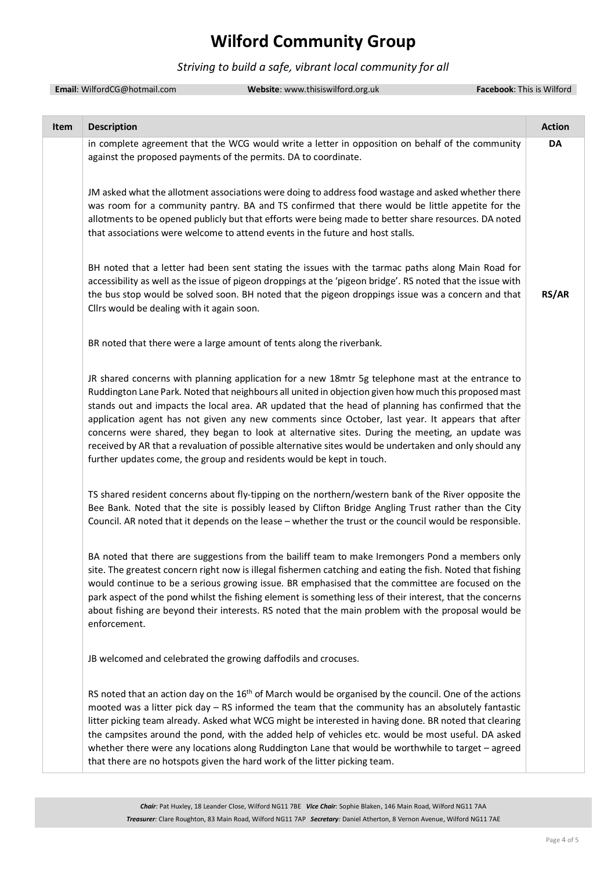#### *Striving to build a safe, vibrant local community for all*

|      | Email: WilfordCG@hotmail.com               | Website: www.thisiswilford.org.uk                                                                                                                                                                                                                                                                                                                                                                                                                                                                                                                                                                                                                                                                            | Facebook: This is Wilford |
|------|--------------------------------------------|--------------------------------------------------------------------------------------------------------------------------------------------------------------------------------------------------------------------------------------------------------------------------------------------------------------------------------------------------------------------------------------------------------------------------------------------------------------------------------------------------------------------------------------------------------------------------------------------------------------------------------------------------------------------------------------------------------------|---------------------------|
| Item | <b>Description</b>                         |                                                                                                                                                                                                                                                                                                                                                                                                                                                                                                                                                                                                                                                                                                              | <b>Action</b>             |
|      |                                            | in complete agreement that the WCG would write a letter in opposition on behalf of the community<br>against the proposed payments of the permits. DA to coordinate.                                                                                                                                                                                                                                                                                                                                                                                                                                                                                                                                          | DA                        |
|      |                                            | JM asked what the allotment associations were doing to address food wastage and asked whether there<br>was room for a community pantry. BA and TS confirmed that there would be little appetite for the<br>allotments to be opened publicly but that efforts were being made to better share resources. DA noted<br>that associations were welcome to attend events in the future and host stalls.                                                                                                                                                                                                                                                                                                           |                           |
|      | Cllrs would be dealing with it again soon. | BH noted that a letter had been sent stating the issues with the tarmac paths along Main Road for<br>accessibility as well as the issue of pigeon droppings at the 'pigeon bridge'. RS noted that the issue with<br>the bus stop would be solved soon. BH noted that the pigeon droppings issue was a concern and that                                                                                                                                                                                                                                                                                                                                                                                       | RS/AR                     |
|      |                                            | BR noted that there were a large amount of tents along the riverbank.                                                                                                                                                                                                                                                                                                                                                                                                                                                                                                                                                                                                                                        |                           |
|      |                                            | JR shared concerns with planning application for a new 18mtr 5g telephone mast at the entrance to<br>Ruddington Lane Park. Noted that neighbours all united in objection given how much this proposed mast<br>stands out and impacts the local area. AR updated that the head of planning has confirmed that the<br>application agent has not given any new comments since October, last year. It appears that after<br>concerns were shared, they began to look at alternative sites. During the meeting, an update was<br>received by AR that a revaluation of possible alternative sites would be undertaken and only should any<br>further updates come, the group and residents would be kept in touch. |                           |
|      |                                            | TS shared resident concerns about fly-tipping on the northern/western bank of the River opposite the<br>Bee Bank. Noted that the site is possibly leased by Clifton Bridge Angling Trust rather than the City<br>Council. AR noted that it depends on the lease - whether the trust or the council would be responsible.                                                                                                                                                                                                                                                                                                                                                                                     |                           |
|      | enforcement.                               | BA noted that there are suggestions from the bailiff team to make Iremongers Pond a members only<br>site. The greatest concern right now is illegal fishermen catching and eating the fish. Noted that fishing<br>would continue to be a serious growing issue. BR emphasised that the committee are focused on the<br>park aspect of the pond whilst the fishing element is something less of their interest, that the concerns<br>about fishing are beyond their interests. RS noted that the main problem with the proposal would be                                                                                                                                                                      |                           |
|      |                                            | JB welcomed and celebrated the growing daffodils and crocuses.                                                                                                                                                                                                                                                                                                                                                                                                                                                                                                                                                                                                                                               |                           |
|      |                                            | RS noted that an action day on the $16th$ of March would be organised by the council. One of the actions<br>mooted was a litter pick day - RS informed the team that the community has an absolutely fantastic<br>litter picking team already. Asked what WCG might be interested in having done. BR noted that clearing<br>the campsites around the pond, with the added help of vehicles etc. would be most useful. DA asked<br>whether there were any locations along Ruddington Lane that would be worthwhile to target - agreed<br>that there are no hotspots given the hard work of the litter picking team.                                                                                           |                           |